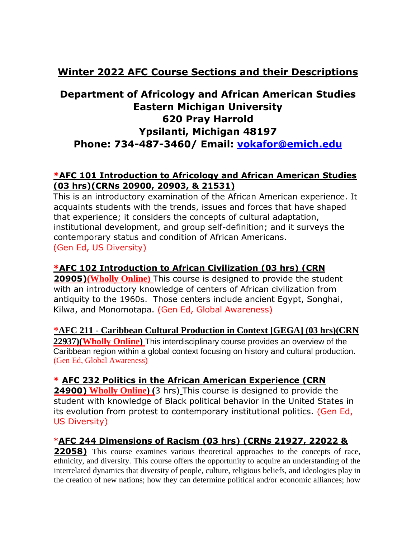### **Winter 2022 AFC Course Sections and their Descriptions**

# **Department of Africology and African American Studies Eastern Michigan University 620 Pray Harrold Ypsilanti, Michigan 48197 Phone: 734-487-3460/ Email: vokafor@emich.edu**

#### **\*AFC 101 Introduction to Africology and African American Studies (03 hrs)(CRNs 20900, 20903, & 21531)**

This is an introductory examination of the African American experience. It acquaints students with the trends, issues and forces that have shaped that experience; it considers the concepts of cultural adaptation, institutional development, and group self-definition; and it surveys the contemporary status and condition of African Americans. (Gen Ed, US Diversity)

#### **\*AFC 102 Introduction to African Civilization (03 hrs) (CRN**

**20905)(Wholly Online)** This course is designed to provide the student with an introductory knowledge of centers of African civilization from antiquity to the 1960s. Those centers include ancient Egypt, Songhai, Kilwa, and Monomotapa. (Gen Ed, Global Awareness)

#### **\*AFC 211 - Caribbean Cultural Production in Context [GEGA] (03 hrs)(CRN**

**22937)(Wholly Online)** This interdisciplinary course provides an overview of the Caribbean region within a global context focusing on history and cultural production. (Gen Ed, Global Awareness)

#### **\* AFC 232 Politics in the African American Experience (CRN**

**24900) Wholly Online) (**3 hrs) This course is designed to provide the student with knowledge of Black political behavior in the United States in its evolution from protest to contemporary institutional politics. (Gen Ed, US Diversity)

#### \***AFC 244 Dimensions of Racism (03 hrs) (CRNs 21927, 22022 &**

**22058)** This course examines various theoretical approaches to the concepts of race, ethnicity, and diversity. This course offers the opportunity to acquire an understanding of the interrelated dynamics that diversity of people, culture, religious beliefs, and ideologies play in the creation of new nations; how they can determine political and/or economic alliances; how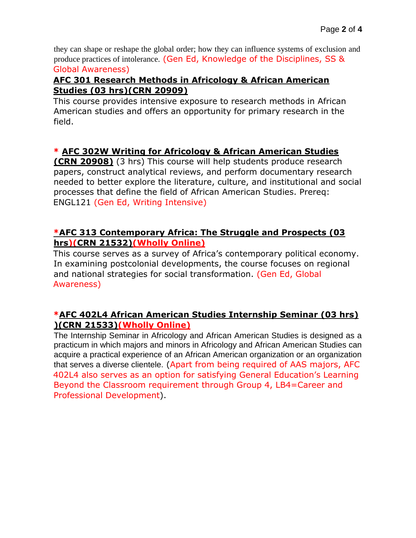they can shape or reshape the global order; how they can influence systems of exclusion and produce practices of intolerance. (Gen Ed, Knowledge of the Disciplines, SS & Global Awareness)

### **AFC 301 Research Methods in Africology & African American Studies (03 hrs)(CRN 20909)**

This course provides intensive exposure to research methods in African American studies and offers an opportunity for primary research in the field.

#### **\* AFC 302W Writing for Africology & African American Studies**

**(CRN 20908)** (3 hrs) This course will help students produce research papers, construct analytical reviews, and perform documentary research needed to better explore the literature, culture, and institutional and social processes that define the field of African American Studies. Prereq: ENGL121 (Gen Ed, Writing Intensive)

#### **\*AFC 313 Contemporary Africa: The Struggle and Prospects (03 hrs)(CRN 21532)(Wholly Online)**

This course serves as a survey of Africa's contemporary political economy. In examining postcolonial developments, the course focuses on regional and national strategies for social transformation. (Gen Ed, Global Awareness)

#### **\*AFC 402L4 African American Studies Internship Seminar (03 hrs) )(CRN 21533)(Wholly Online)**

The Internship Seminar in Africology and African American Studies is designed as a practicum in which majors and minors in Africology and African American Studies can acquire a practical experience of an African American organization or an organization that serves a diverse clientele. (Apart from being required of AAS majors, AFC 402L4 also serves as an option for satisfying General Education's Learning Beyond the Classroom requirement through Group 4, LB4=Career and Professional Development).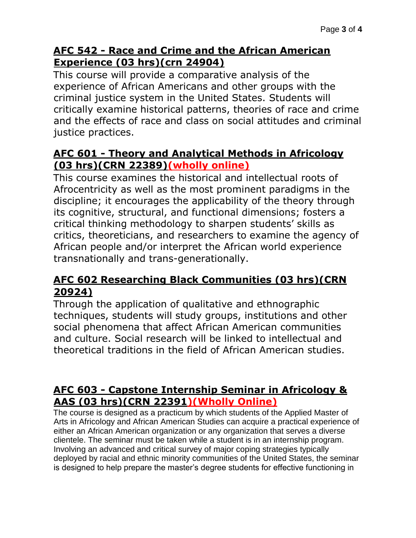### **AFC 542 - Race and Crime and the African American Experience (03 hrs)(crn 24904)**

This course will provide a comparative analysis of the experience of African Americans and other groups with the criminal justice system in the United States. Students will critically examine historical patterns, theories of race and crime and the effects of race and class on social attitudes and criminal justice practices.

### **AFC 601 - Theory and Analytical Methods in Africology (03 hrs)(CRN 22389)(wholly online)**

This course examines the historical and intellectual roots of Afrocentricity as well as the most prominent paradigms in the discipline; it encourages the applicability of the theory through its cognitive, structural, and functional dimensions; fosters a critical thinking methodology to sharpen students' skills as critics, theoreticians, and researchers to examine the agency of African people and/or interpret the African world experience transnationally and trans-generationally.

# **AFC 602 Researching Black Communities (03 hrs)(CRN 20924)**

Through the application of qualitative and ethnographic techniques, students will study groups, institutions and other social phenomena that affect African American communities and culture. Social research will be linked to intellectual and theoretical traditions in the field of African American studies.

# **AFC 603 - Capstone Internship Seminar in Africology & AAS (03 hrs)(CRN 22391)(Wholly Online)**

The course is designed as a practicum by which students of the Applied Master of Arts in Africology and African American Studies can acquire a practical experience of either an African American organization or any organization that serves a diverse clientele. The seminar must be taken while a student is in an internship program. Involving an advanced and critical survey of major coping strategies typically deployed by racial and ethnic minority communities of the United States, the seminar is designed to help prepare the master's degree students for effective functioning in